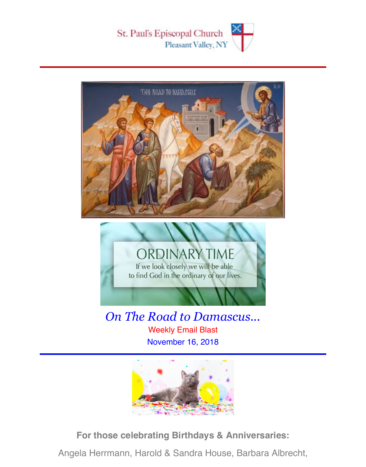





*On The Road to Damascus...* Weekly Email Blast November 16, 2018



**For those celebrating Birthdays & Anniversaries:**

Angela Herrmann, Harold & Sandra House, Barbara Albrecht,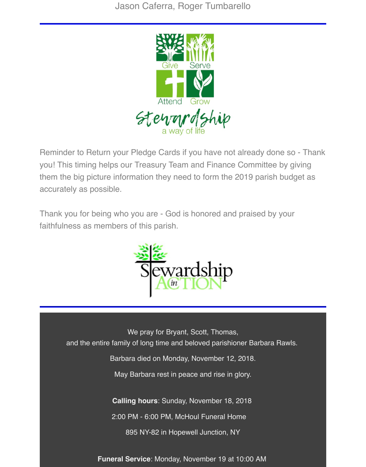

Reminder to Return your Pledge Cards if you have not already done so - Thank you! This timing helps our Treasury Team and Finance Committee by giving them the big picture information they need to form the 2019 parish budget as accurately as possible.

Thank you for being who you are - God is honored and praised by your faithfulness as members of this parish.



We pray for Bryant, Scott, Thomas, and the entire family of long time and beloved parishioner Barbara Rawls.

Barbara died on Monday, November 12, 2018.

May Barbara rest in peace and rise in glory.

**Calling hours**: Sunday, November 18, 2018

2:00 PM - 6:00 PM, McHoul Funeral Home

895 NY-82 in Hopewell Junction, NY

**Funeral Service**: Monday, November 19 at 10:00 AM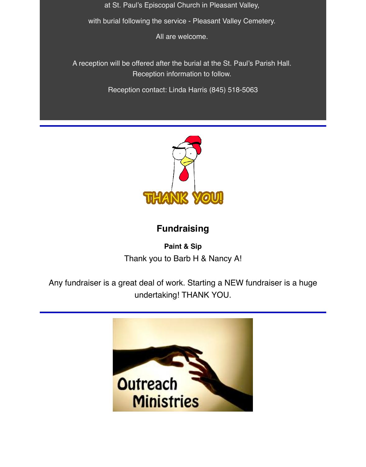at St. Paul's Episcopal Church in Pleasant Valley,

with burial following the service - Pleasant Valley Cemetery.

All are welcome.

A reception will be offered after the burial at the St. Paul's Parish Hall. Reception information to follow.

Reception contact: Linda Harris (845) 518-5063



## **Fundraising**

**Paint & Sip** Thank you to Barb H & Nancy A!

Any fundraiser is a great deal of work. Starting a NEW fundraiser is a huge undertaking! THANK YOU.

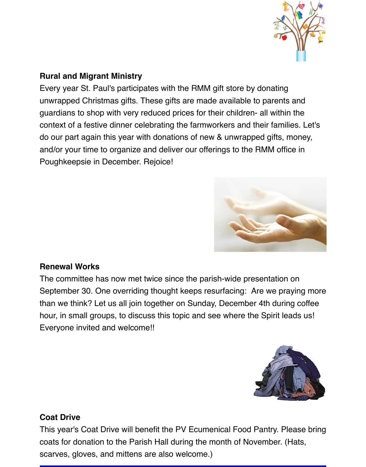

### **Rural and Migrant Ministry**

Every year St. Paul's participates with the RMM gift store by donating unwrapped Christmas gifts. These gifts are made available to parents and guardians to shop with very reduced prices for their children- all within the context of a festive dinner celebrating the farmworkers and their families. Let's do our part again this year with donations of new & unwrapped gifts, money, and/or your time to organize and deliver our offerings to the RMM office in Poughkeepsie in December. Rejoice!



### **Renewal Works**

The committee has now met twice since the parish-wide presentation on September 30. One overriding thought keeps resurfacing: Are we praying more than we think? Let us all join together on Sunday, December 4th during coffee hour, in small groups, to discuss this topic and see where the Spirit leads us! Everyone invited and welcome!!



### **Coat Drive**

This year's Coat Drive will benefit the PV Ecumenical Food Pantry. Please bring coats for donation to the Parish Hall during the month of November. (Hats, scarves, gloves, and mittens are also welcome.)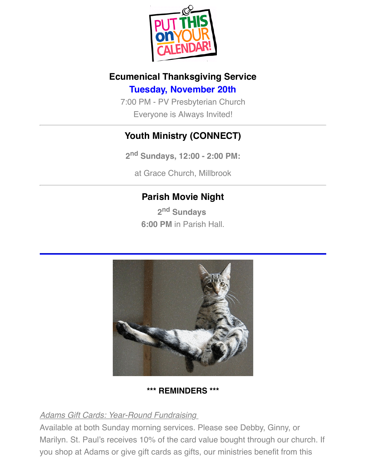

# **Ecumenical Thanksgiving Service Tuesday, November 20th**

7:00 PM - PV Presbyterian Church Everyone is Always Invited!

## **Youth Ministry (CONNECT)**

**2nd Sundays, 12:00 - 2:00 PM:**

at Grace Church, Millbrook

## **Parish Movie Night**

**2nd Sundays 6:00 PM** in Parish Hall.



### **\*\*\* REMINDERS \*\*\***

### *Adams Gift Cards: Year-Round Fundraising*

Available at both Sunday morning services. Please see Debby, Ginny, or Marilyn. St. Paul's receives 10% of the card value bought through our church. If you shop at Adams or give gift cards as gifts, our ministries benefit from this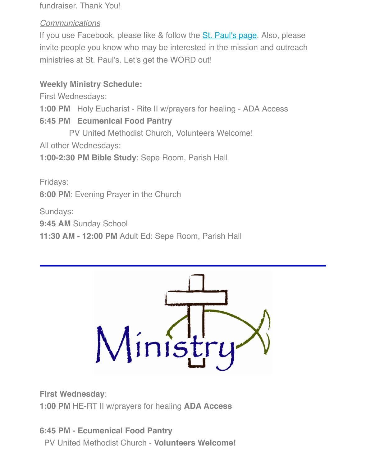**Weekly Ministry Schedule:**

First Wednesdays:

**1:00 PM** Holy Eucharist - Rite II w/prayers for healing - ADA Access

**6:45 PM Ecumenical Food Pantry**

 PV United Methodist Church, Volunteers Welcome! All other Wednesdays:

**1:00-2:30 PM Bible Study**: Sepe Room, Parish Hall

ministers at St. Paul's. Letters at St. Paul's. Letters at St. Paul's. Letters at St. Paul's. Letters at St. P

Fridays:

**6:00 PM**: Evening Prayer in the Church

Sundays:

**9:45 AM** Sunday School

**11:30 AM - 12:00 PM** Adult Ed: Sepe Room, Parish Hall



**First Wednesday**:

**1:00 PM** HE-RT II w/prayers for healing **ADA Access**

**6:45 PM - Ecumenical Food Pantry** PV United Methodist Church - **Volunteers Welcome!**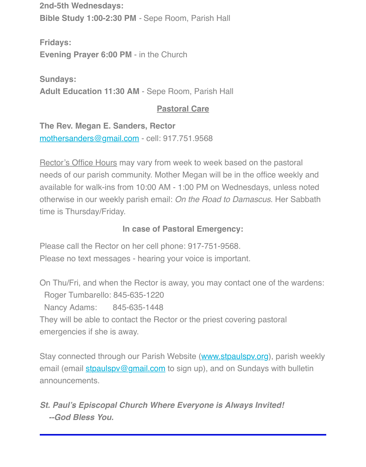**Sundays: Adult Education 11:30 AM** - Sepe Room, Parish Hall

### **Pastoral Care**

**The Rev. Megan E. Sanders, Rector** mothersanders@gmail.com - cell: 917.751.9568

Rector's Office Hours may vary from week to week based on the pastoral needs of our parish community. Mother Megan will be in the office weekly and available for walk-ins from 10:00 AM - 1:00 PM on Wednesdays, unless not [otherwise in our weekly pari](mailto:mothersanders@gmail.com)sh email: On the Road to Damascus. Her Sabbath time is Thursday/Friday.

## **In case of Pastoral Emergency:**

Please call the Rector on her cell phone: 917-751-9568.

Please no text messages - hearing your voice is important.

On Thu/Fri, and when the Rector is away, you may contact one of the warden Roger Tumbarello: 845-635-1220 Nancy Adams: 845-635-1448 They will be able to contact the Rector or the priest covering pastoral emergencies if she is away.

Stay connected through our Parish Website (www.stpaulspv.org), parish we email (email stpaulspy@gmail.com to sign up), and on Sundays with bulleting announcements.

*St. Paul's Episcopal Church Where Everyone is Always Invited! --God Bless You.*